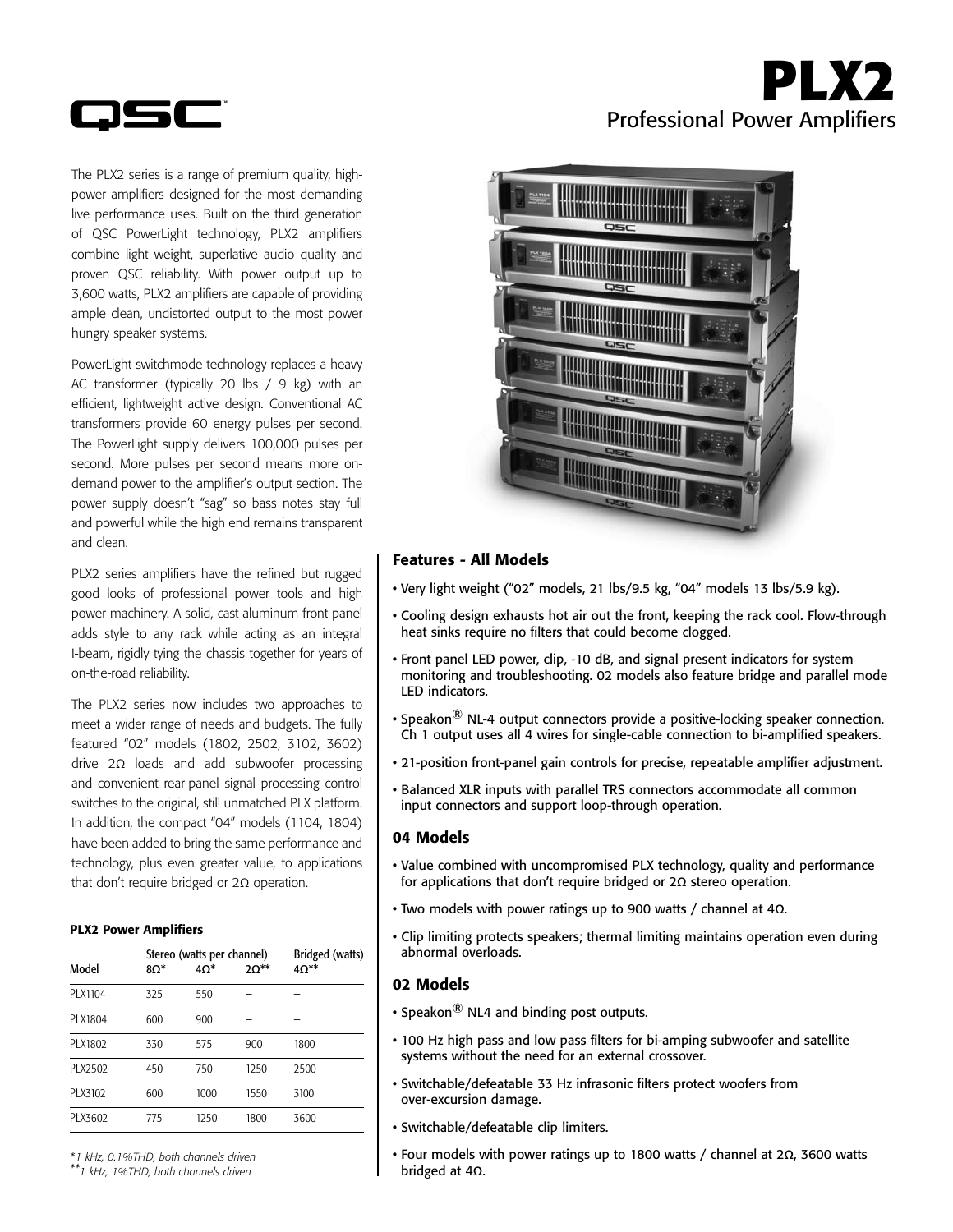



The PLX2 series is a range of premium quality, highpower amplifiers designed for the most demanding live performance uses. Built on the third generation of QSC PowerLight technology, PLX2 amplifiers combine light weight, superlative audio quality and proven QSC reliability. With power output up to 3,600 watts, PLX2 amplifiers are capable of providing ample clean, undistorted output to the most power hungry speaker systems.

PowerLight switchmode technology replaces a heavy AC transformer (typically 20 lbs / 9 kg) with an efficient, lightweight active design. Conventional AC transformers provide 60 energy pulses per second. The PowerLight supply delivers 100,000 pulses per second. More pulses per second means more ondemand power to the amplifier's output section. The power supply doesn't "sag" so bass notes stay full and powerful while the high end remains transparent and clean.

PLX2 series amplifiers have the refined but rugged good looks of professional power tools and high power machinery. A solid, cast-aluminum front panel adds style to any rack while acting as an integral I-beam, rigidly tying the chassis together for years of on-the-road reliability.

The PLX2 series now includes two approaches to meet a wider range of needs and budgets. The fully featured "02" models (1802, 2502, 3102, 3602) drive 2Ω loads and add subwoofer processing and convenient rear-panel signal processing control switches to the original, still unmatched PLX platform. In addition, the compact "04" models (1104, 1804) have been added to bring the same performance and technology, plus even greater value, to applications that don't require bridged or 2Ω operation.

### PLX2 Power Amplifiers

| Model   | Stereo (watts per channel)<br>$8\Omega^*$<br>$40*$ |      | $2\Omega^{**}$ | Bridged (watts)<br>$4\Omega^{**}$ |  |  |
|---------|----------------------------------------------------|------|----------------|-----------------------------------|--|--|
| PLX1104 | 325                                                | 550  |                |                                   |  |  |
| PLX1804 | 600                                                | 900  |                |                                   |  |  |
| PLX1802 | 330                                                | 575  | 900            | 1800                              |  |  |
| PLX2502 | 450                                                | 750  | 1250           | 2500                              |  |  |
| PLX3102 | 600                                                | 1000 | 1550           | 3100                              |  |  |
| PLX3602 | 775                                                | 1250 | 1800           | 3600                              |  |  |

*\* 1 kHz, 0.1%THD, both channels driven*

*\*\*1 kHz, 1%THD, both channels driven*



# Features - All Models

- • Very light weight ("02" models, 21 lbs/9.5 kg, "04" models 13 lbs/5.9 kg).
- Cooling design exhausts hot air out the front, keeping the rack cool. Flow-through heat sinks require no filters that could become clogged.
- Front panel LED power, clip, -10 dB, and signal present indicators for system monitoring and troubleshooting. 02 models also feature bridge and parallel mode LED indicators.
- Speakon $^{\circledR}$  NL-4 output connectors provide a positive-locking speaker connection. Ch 1 output uses all 4 wires for single-cable connection to bi-amplified speakers.
- 21-position front-panel gain controls for precise, repeatable amplifier adjustment.
- Balanced XLR inputs with parallel TRS connectors accommodate all common input connectors and support loop-through operation.

# 04 Models

- Value combined with uncompromised PLX technology, quality and performance for applications that don't require bridged or 2**Ω** stereo operation.
- Two models with power ratings up to 900 watts / channel at 4**Ω**.
- Clip limiting protects speakers; thermal limiting maintains operation even during abnormal overloads.

# 02 Models

- Speakon $\binom{8}{9}$  NL4 and binding post outputs.
- 100 Hz high pass and low pass filters for bi-amping subwoofer and satellite systems without the need for an external crossover.
- Switchable/defeatable 33 Hz infrasonic filters protect woofers from over-excursion damage.
- Switchable/defeatable clip limiters.
- Four models with power ratings up to 1800 watts / channel at 2**Ω**, 3600 watts bridged at 4**Ω**.